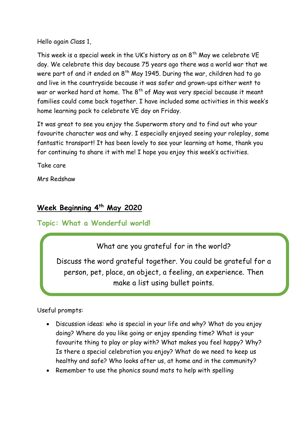Hello again Class 1,

This week is a special week in the UK's history as on  $8<sup>th</sup>$  May we celebrate VE day. We celebrate this day because 75 years ago there was a world war that we were part of and it ended on  $8<sup>th</sup>$  May 1945. During the war, children had to go and live in the countryside because it was safer and grown-ups either went to war or worked hard at home. The  $8<sup>th</sup>$  of May was very special because it meant families could come back together. I have included some activities in this week's home learning pack to celebrate VE day on Friday.

It was great to see you enjoy the Superworm story and to find out who your favourite character was and why. I especially enjoyed seeing your roleplay, some fantastic transport! It has been lovely to see your learning at home, thank you for continuing to share it with me! I hope you enjoy this week's activities.

Take care

Mrs Redshaw

# **Week Beginning 4th May 2020**

## **Topic: What a Wonderful world!**

What are you grateful for in the world?

Discuss the word grateful together. You could be grateful for a person, pet, place, an object, a feeling, an experience. Then make a list using bullet points.

Useful prompts:

- Discussion ideas: who is special in your life and why? What do you enjoy doing? Where do you like going or enjoy spending time? What is your favourite thing to play or play with? What makes you feel happy? Why? Is there a special celebration you enjoy? What do we need to keep us healthy and safe? Who looks after us, at home and in the community?
- Remember to use the phonics sound mats to help with spelling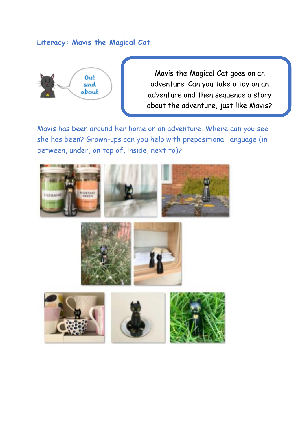## **Literacy: Mavis the Magical Cat**



Mavis the Magical Cat goes on an adventure! Can you take a toy on an adventure and then sequence a story about the adventure, just like Mavis?

Mavis has been around her home on an adventure. Where can you see she has been? Grown-ups can you help with prepositional language (in between, under, on top of, inside, next to)?









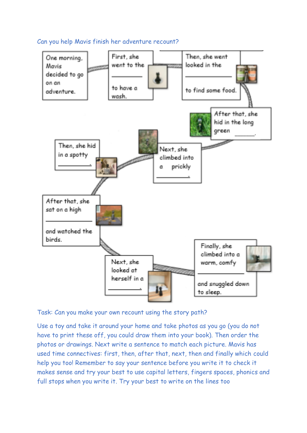



Task: Can you make your own recount using the story path?

Use a toy and take it around your home and take photos as you go (you do not have to print these off, you could draw them into your book). Then order the photos or drawings. Next write a sentence to match each picture. Mavis has used time connectives: first, then, after that, next, then and finally which could help you too! Remember to say your sentence before you write it to check it makes sense and try your best to use capital letters, fingers spaces, phonics and full stops when you write it. Try your best to write on the lines too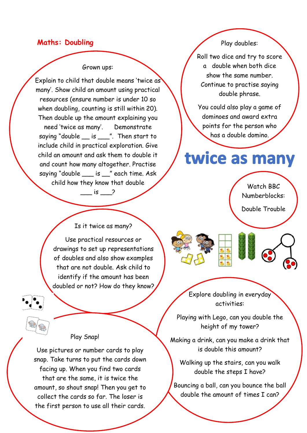## **Maths: Doubling**

#### Grown ups:

Explain to child that double means 'twice as many'. Show child an amount using practical resources (ensure number is under 10 so when doubling, counting is still within 20). Then double up the amount explaining you need 'twice as many'. Demonstrate saying "double \_\_ is \_\_\_". Then start to include child in practical exploration. Give child an amount and ask them to double it and count how many altogether. Practise saying "double is " each time. Ask child how they know that double

 $\frac{1}{\sqrt{2}}$  is  $\frac{1}{\sqrt{2}}$ 

## Play doubles:

Roll two dice and try to score a double when both dice show the same number. Continue to practise saying double phrase.

You could also play a game of dominoes and award extra points for the person who has a double domino.

# twice as many

Watch BBC Numberblocks:

Double Trouble

Is it twice as many?

Use practical resources or drawings to set up representations of doubles and also show examples that are not double. Ask child to identify if the amount has been doubled or not? How do they know?

Can they challenge a grown up?

## Play Snap!

 $\mathbf$ İ Use pictures or number cards to play snap. Take turns to put the cards down facing up. When you find two cards that are the same, it is twice the amount, so shout snap! Then you get to collect the cards so far. The loser is the first person to use all their cards.

Explore doubling in everyday activities:

Playing with Lego, can you double the height of my tower?

Making a drink, can you make a drink that is double this amount?

Walking up the stairs, can you walk double the steps I have?

Bouncing a ball, can you bounce the ball double the amount of times I can?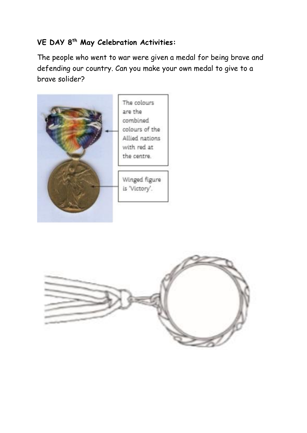# **VE DAY 8th May Celebration Activities:**

The people who went to war were given a medal for being brave and defending our country. Can you make your own medal to give to a brave solider?